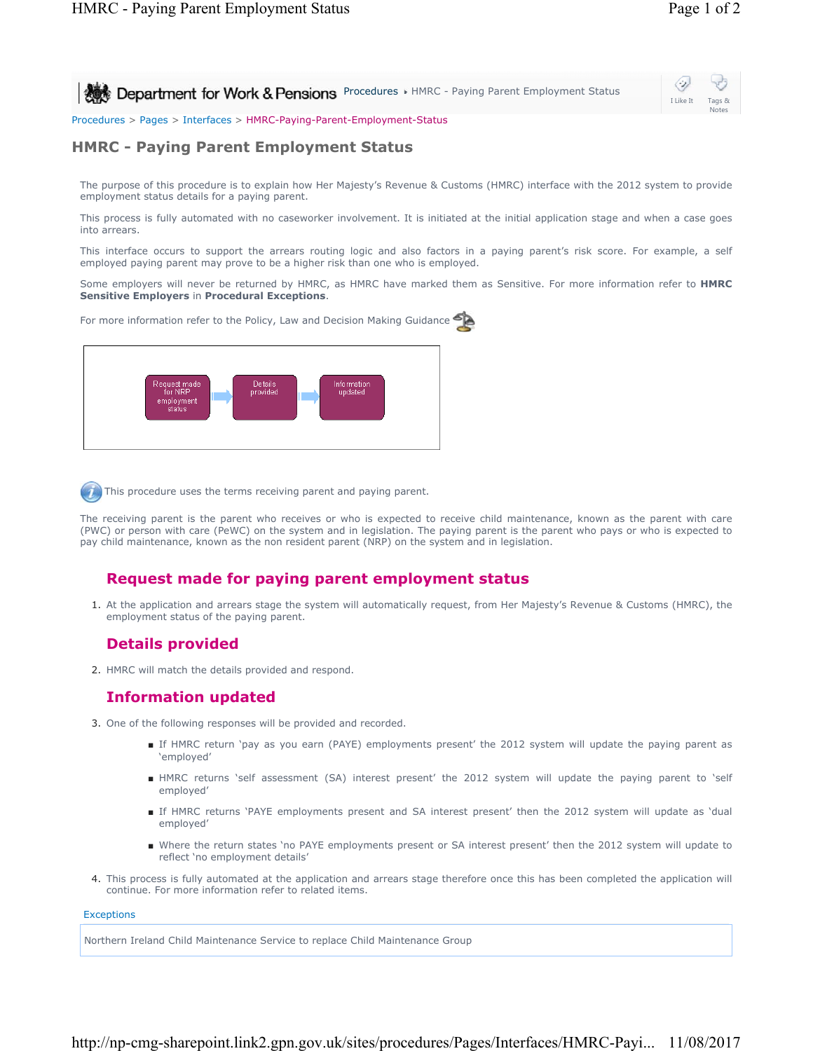I Like It Tags & Notes

⇔

**Procedures HMRC - Paying Parent Employment Status** 

Procedures > Pages > Interfaces > HMRC-Paying-Parent-Employment-Status

### **HMRC - Paying Parent Employment Status**

The purpose of this procedure is to explain how Her Majesty's Revenue & Customs (HMRC) interface with the 2012 system to provide employment status details for a paying parent.

This process is fully automated with no caseworker involvement. It is initiated at the initial application stage and when a case goes into arrears.

This interface occurs to support the arrears routing logic and also factors in a paying parent's risk score. For example, a self employed paying parent may prove to be a higher risk than one who is employed.

Some employers will never be returned by HMRC, as HMRC have marked them as Sensitive. For more information refer to **HMRC Sensitive Employers** in **Procedural Exceptions**.

For more information refer to the Policy, Law and Decision Making Guidance



This procedure uses the terms receiving parent and paying parent.

The receiving parent is the parent who receives or who is expected to receive child maintenance, known as the parent with care (PWC) or person with care (PeWC) on the system and in legislation. The paying parent is the parent who pays or who is expected to pay child maintenance, known as the non resident parent (NRP) on the system and in legislation.

# **Request made for paying parent employment status**

At the application and arrears stage the system will automatically request, from Her Majesty's Revenue & Customs (HMRC), the 1. employment status of the paying parent.

# **Details provided**

2. HMRC will match the details provided and respond.

# **Information updated**

- 3. One of the following responses will be provided and recorded.
	- If HMRC return `pay as you earn (PAYE) employments present' the 2012 system will update the paying parent as 'employed'
	- HMRC returns 'self assessment (SA) interest present' the 2012 system will update the paying parent to 'self employed'
	- If HMRC returns 'PAYE employments present and SA interest present' then the 2012 system will update as 'dual employed'
	- Where the return states 'no PAYE employments present or SA interest present' then the 2012 system will update to reflect 'no employment details'
- 4. This process is fully automated at the application and arrears stage therefore once this has been completed the application will continue. For more information refer to related items.

#### **Exceptions**

Northern Ireland Child Maintenance Service to replace Child Maintenance Group